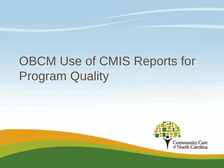# OBCM Use of CMIS Reports for Program Quality

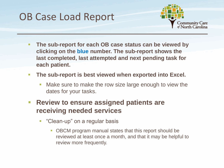#### OB Case Load Report



- **The sub-report for each OB case status can be viewed by clicking on the blue number. The sub-report shows the last completed, last attempted and next pending task for each patient.**
- **The sub-report is best viewed when exported into Excel.** 
	- Make sure to make the row size large enough to view the dates for your tasks.
- **Review to ensure assigned patients are receiving needed services**
	- "Clean-up" on a regular basis
		- OBCM program manual states that this report should be reviewed at least once a month, and that it may be helpful to review more frequently.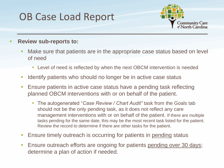#### OB Case Load Report



#### **Review sub-reports to:**

- Make sure that patients are in the appropriate case status based on level of need
	- **Level of need is reflected by when the next OBCM intervention is needed**
- I Identify patients who should no longer be in active case status
- **Ensure patients in active case status have a pending task reflecting** planned OBCM interventions with or on behalf of the patient.
	- The autogenerated "*Case Review / Chart Audit"* task from the Goals tab should not be the only pending task, as it does not reflect any care management interventions with or on behalf of the patient. If there are multiple tasks pending for the same date, this may be the most recent task listed for the patient. Review the record to determine if there are other tasks for the patient.
- **Ensure timely outreach is occurring for patients in pending status**
- **Ensure outreach efforts are ongoing for patients pending over 30 days;** determine a plan of action if needed.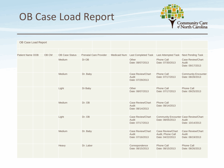#### OB Case Load Report



| OB Case Load Report     |       |                       |                               |                     |                                                       |                                                                   |                                                       |
|-------------------------|-------|-----------------------|-------------------------------|---------------------|-------------------------------------------------------|-------------------------------------------------------------------|-------------------------------------------------------|
|                         |       |                       |                               |                     |                                                       |                                                                   |                                                       |
| <b>Patient Name DOB</b> | OB CM | <b>OB Case Status</b> | <b>Prenatal Care Provider</b> | <b>Medicaid Num</b> | <b>Last Completed Task</b>                            | <b>Last Attempted Task</b>                                        | <b>Next Pending Task</b>                              |
|                         |       | <b>Medium</b>         | Dr OB                         |                     | Other<br>Date: 08/07/2013                             | Phone Call<br>Date: 07/30/2013                                    | <b>Case Review/Chart</b><br>Audit<br>Date: 09/17/2013 |
|                         |       | Medium                | Dr. Baby                      |                     | Case Review/Chart<br>Audit<br>Date: 07/29/2013        | Phone Call<br>Date: 07/17/2013                                    | <b>Community Encounter</b><br>Date: 08/28/2013        |
|                         |       | Light                 | Dr Baby                       |                     | Other<br>Date: 08/07/2013                             | Phone Call<br>Date: 07/17/2013                                    | <b>Phone Call</b><br>Date: 09/25/2013                 |
|                         |       | Medium                | Dr. OB                        |                     | <b>Case Review/Chart</b><br>Audit<br>Date: 08/14/2013 | <b>Phone Call</b><br>Date: 08/14/2013                             |                                                       |
|                         |       | Light                 | Dr. OB                        |                     | Case Review/Chart<br>Audit<br>Date: 07/17/2013        | <b>Community Encounter Case Review/Chart</b><br>Date: 08/05/2013  | Audit<br>Date: 10/14/2013                             |
|                         |       | Medium                | Dr. Baby                      |                     | <b>Case Review/Chart</b><br>Audit<br>Date: 07/16/2013 | <b>Case Review/Chart</b><br>Audit, Phone Call<br>Date: 04/22/2013 | <b>Case Review/Chart</b><br>Audit<br>Date: 08/19/2013 |
|                         |       | Heavy                 | Dr. Labor                     |                     | Correspondence<br>Date: 08/15/2013                    | <b>Phone Call</b><br>Date: 08/15/2013                             | <b>Phone Call</b><br>Date: 08/26/2013                 |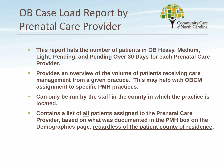## OB Case Load Report by Prenatal Care Provider



- **This report lists the number of patients in OB Heavy, Medium, Light, Pending, and Pending Over 30 Days for each Prenatal Care Provider.**
- **Provides an overview of the volume of patients receiving care management from a given practice. This may help with OBCM assignment to specific PMH practices.**
- **Can only be run by the staff in the county in which the practice is located.**
- **Contains a list of all patients assigned to the Prenatal Care Provider, based on what was documented in the PMH box on the Demographics page, regardless of the patient county of residence.**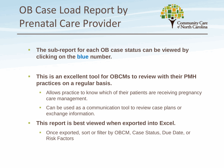## OB Case Load Report by Prenatal Care Provider



- **The sub-report for each OB case status can be viewed by clicking on the blue number.**
- **This is an excellent tool for OBCMs to review with their PMH practices on a regular basis.**
	- Allows practice to know which of their patients are receiving pregnancy care management.
	- **Can be used as a communication tool to review case plans or** exchange information.
- **This report is best viewed when exported into Excel.**
	- Once exported, sort or filter by OBCM, Case Status, Due Date, or Risk Factors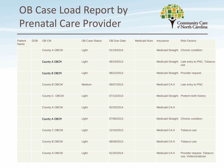## OB Case Load Report by Prenatal Care Provider



| Patient<br>Name | <b>DOB</b> | OB CM                | <b>OB Case Status</b> | <b>OB Due Date</b> | <b>Medicaid Num</b> | Insurance                           | <b>Risk Factors</b>                                 |
|-----------------|------------|----------------------|-----------------------|--------------------|---------------------|-------------------------------------|-----------------------------------------------------|
|                 |            | <b>County A OBCM</b> | Light                 | 01/19/2014         |                     | Medicaid Straight Chronic condition |                                                     |
|                 |            | County A OBCM        | Light                 | 08/19/2013         |                     |                                     | Medicaid Straight Late entry to PNC, Tobacco<br>use |
|                 |            | County B OBCM        | Light                 | 08/22/2013         |                     | Medicaid Straight Provider request  |                                                     |
|                 |            | <b>County B OBCM</b> | Medium                | 09/07/2013         |                     | <b>Medicaid CA-II</b>               | Late entry to PNC                                   |
|                 |            | County C OBCM        | Light                 | 07/13/2013         |                     |                                     | Medicaid Straight Preterm birth history             |
|                 |            | <b>County A OBCM</b> | Light                 | 02/20/2014         |                     | <b>Medicaid CA-II</b>               |                                                     |
|                 |            | County A OBCM        | Light                 | 07/06/2013         |                     | Medicaid Straight Chronic condition |                                                     |
|                 |            | County C OBCM        | Light                 | 12/16/2013         |                     | <b>Medicaid CA-II</b>               | Tobacco use                                         |
|                 |            | <b>County B OBCM</b> | Light                 | 08/08/2013         |                     | <b>Medicaid CA-II</b>               | Tobacco use                                         |
|                 |            | <b>County A OBCM</b> | Light                 | 01/25/2014         |                     | <b>Medicaid CA-II</b>               | Provider request, Tobacco<br>use, Violence/abuse    |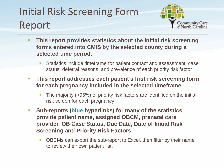## Initial Risk Screening Form Report



- **This report provides statistics about the initial risk screening forms entered into CMIS by the selected county during a selected time period.**
	- Statistics include timeframe for patient contact and assessment, case status, deferral reasons, and prevalence of each priority risk factor
- **This report addresses each patient's first risk screening form for each pregnancy included in the selected timeframe**
	- The majority (>95%) of priority risk factors are identified on the initial risk screen for each pregnancy
- **Sub-reports (blue hyperlinks) for many of the statistics provide patient name, assigned OBCM, prenatal care provider, OB Case Status, Due Date, Date of Initial Risk Screening and Priority Risk Factors**
	- **DBCMs can export the sub-report to Excel, then filter by their name** to review their own patient list.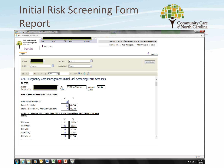#### Initial Risk Screening Form ReportCommunity Care<br>of North Carolina

| ! Case Management Information System ( CMIS ) - Windows Internet Explorer                                                                                                                                                                                                                                |                                                                                                                                     | كالتكاريك  |
|----------------------------------------------------------------------------------------------------------------------------------------------------------------------------------------------------------------------------------------------------------------------------------------------------------|-------------------------------------------------------------------------------------------------------------------------------------|------------|
| https://cmis.n3cn.org/mainframe.aspx                                                                                                                                                                                                                                                                     |                                                                                                                                     | $A \nabla$ |
| Wel<br>Log Out<br><b>Case Management</b><br>Home<br>Reports<br>Administration<br><b>Resources</b><br>. Information System<br>¢<br>$\frac{1}{2}$ , $\frac{1}{2}$ version 8.6.6<br><b>WELCOME</b>                                                                                                          | Support: Herndon, Kristie (7048741933) or Email: kherndon@gfhs.info<br>Return to Home   User Workspace   Patient Workspace   Search |            |
| Community Care<br>of North Carolina<br>Reports                                                                                                                                                                                                                                                           | €<br><b>Back to Tas</b>                                                                                                             |            |
| $\blacksquare$<br><b>Start Date</b><br>6/1/2013<br>County<br>$\blacksquare$<br>Was Medicaid   Yes, No<br>End Date 6/30/2013<br>$\checkmark$                                                                                                                                                              | View Report                                                                                                                         |            |
| Find   Next $\overline{\mathbb{R}}$ $\bullet$ $\overline{\mathbb{Q}}$<br>$\triangle$<br>of $1 \quad \triangleright \quad \triangleright \parallel \quad \rightsquigarrow \quad 100\%$<br>$\vert \mathbf{v} \vert$<br>$\begin{array}{ c c c c c }\n\hline\n\text{A} & \text{A}\n\end{array}$<br>$\vert$ 1 |                                                                                                                                     |            |
| CMIS Pregnancy Care Management Initial Risk Screening Form Statistics<br><b>FILTERS</b><br>County<br>Time<br>6/1/2013 - 6/30/2013<br>Medicaid<br>Yes, No<br>Period:<br>(of residence)<br>Status:                                                                                                         |                                                                                                                                     |            |
| RISK SCREENING/PREGNANCY ASSESSMENT<br>#<br>$\%$                                                                                                                                                                                                                                                         |                                                                                                                                     |            |
| Initial Risk Screening Form:<br>135<br>Priority Risk Factor:<br>60.74%<br>82<br>Priority Risk Factor AND Pregnancy Assessment:<br>86.59%<br>71                                                                                                                                                           |                                                                                                                                     |            |
| CASE STATUS OF PATIENTS WITH AN INITIAL RISK SCREENING FORM (as of the end of the Time<br>Period)<br>$\frac{0}{6}$<br>#                                                                                                                                                                                  |                                                                                                                                     |            |
| OB Heavy:<br>$\bf{0}$<br>0.00%<br><b>OB</b> Medium:<br>13<br>9.63%<br>OB Light:<br>11<br>8.15%                                                                                                                                                                                                           |                                                                                                                                     |            |
| <b>OB Pending:</b><br>52<br>38.52%<br><b>OB Deferred:</b><br>37.78%<br>51<br>$\sim 10^{-1}$<br>ALC: U<br>$\sim$<br>$F = 0.00$                                                                                                                                                                            |                                                                                                                                     |            |
|                                                                                                                                                                                                                                                                                                          |                                                                                                                                     |            |